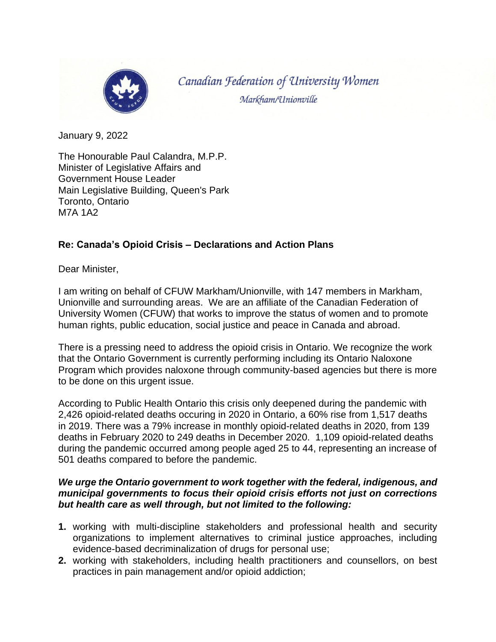

Canadian Federation of University Women Markham/Unionville

January 9, 2022

The Honourable Paul Calandra, M.P.P. Minister of Legislative Affairs and Government House Leader Main Legislative Building, Queen's Park Toronto, Ontario M7A 1A2

## **Re: Canada's Opioid Crisis – Declarations and Action Plans**

Dear Minister,

I am writing on behalf of CFUW Markham/Unionville, with 147 members in Markham, Unionville and surrounding areas. We are an affiliate of the Canadian Federation of University Women (CFUW) that works to improve the status of women and to promote human rights, public education, social justice and peace in Canada and abroad.

There is a pressing need to address the opioid crisis in Ontario. We recognize the work that the Ontario Government is currently performing including its Ontario Naloxone Program which provides naloxone through community-based agencies but there is more to be done on this urgent issue.

According to Public Health Ontario this crisis only deepened during the pandemic with 2,426 opioid-related deaths occuring in 2020 in Ontario, a 60% rise from 1,517 deaths in 2019. There was a 79% increase in monthly opioid-related deaths in 2020, from 139 deaths in February 2020 to 249 deaths in December 2020. 1,109 opioid-related deaths during the pandemic occurred among people aged 25 to 44, representing an increase of 501 deaths compared to before the pandemic.

## *We urge the Ontario government to work together with the federal, indigenous, and municipal governments to focus their opioid crisis efforts not just on corrections but health care as well through, but not limited to the following:*

- **1.** working with multi-discipline stakeholders and professional health and security organizations to implement alternatives to criminal justice approaches, including evidence-based decriminalization of drugs for personal use;
- **2.** working with stakeholders, including health practitioners and counsellors, on best practices in pain management and/or opioid addiction;